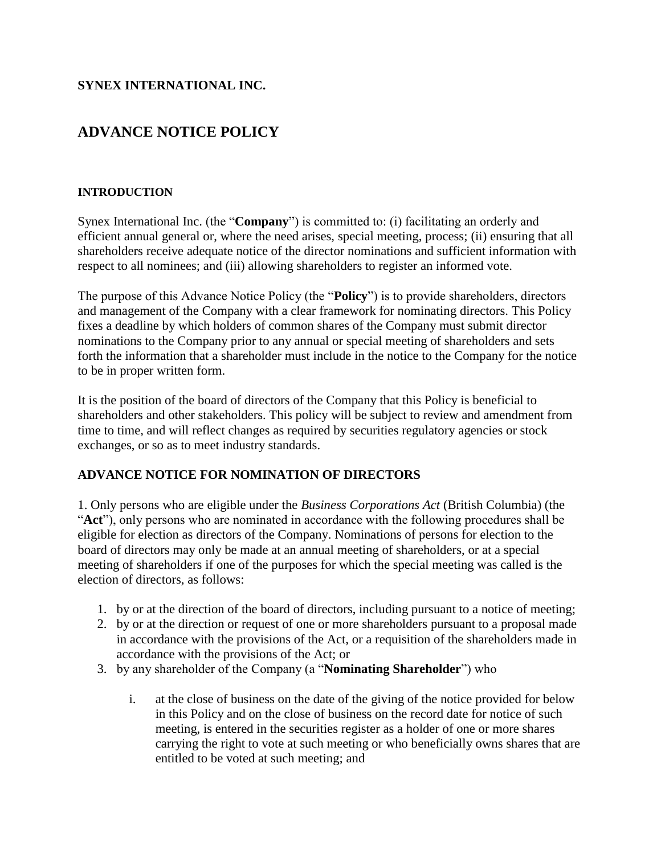## **SYNEX INTERNATIONAL INC.**

# **ADVANCE NOTICE POLICY**

#### **INTRODUCTION**

Synex International Inc. (the "**Company**") is committed to: (i) facilitating an orderly and efficient annual general or, where the need arises, special meeting, process; (ii) ensuring that all shareholders receive adequate notice of the director nominations and sufficient information with respect to all nominees; and (iii) allowing shareholders to register an informed vote.

The purpose of this Advance Notice Policy (the "**Policy**") is to provide shareholders, directors and management of the Company with a clear framework for nominating directors. This Policy fixes a deadline by which holders of common shares of the Company must submit director nominations to the Company prior to any annual or special meeting of shareholders and sets forth the information that a shareholder must include in the notice to the Company for the notice to be in proper written form.

It is the position of the board of directors of the Company that this Policy is beneficial to shareholders and other stakeholders. This policy will be subject to review and amendment from time to time, and will reflect changes as required by securities regulatory agencies or stock exchanges, or so as to meet industry standards.

### **ADVANCE NOTICE FOR NOMINATION OF DIRECTORS**

1. Only persons who are eligible under the *Business Corporations Act* (British Columbia) (the "**Act**"), only persons who are nominated in accordance with the following procedures shall be eligible for election as directors of the Company. Nominations of persons for election to the board of directors may only be made at an annual meeting of shareholders, or at a special meeting of shareholders if one of the purposes for which the special meeting was called is the election of directors, as follows:

- 1. by or at the direction of the board of directors, including pursuant to a notice of meeting;
- 2. by or at the direction or request of one or more shareholders pursuant to a proposal made in accordance with the provisions of the Act, or a requisition of the shareholders made in accordance with the provisions of the Act; or
- 3. by any shareholder of the Company (a "**Nominating Shareholder**") who
	- i. at the close of business on the date of the giving of the notice provided for below in this Policy and on the close of business on the record date for notice of such meeting, is entered in the securities register as a holder of one or more shares carrying the right to vote at such meeting or who beneficially owns shares that are entitled to be voted at such meeting; and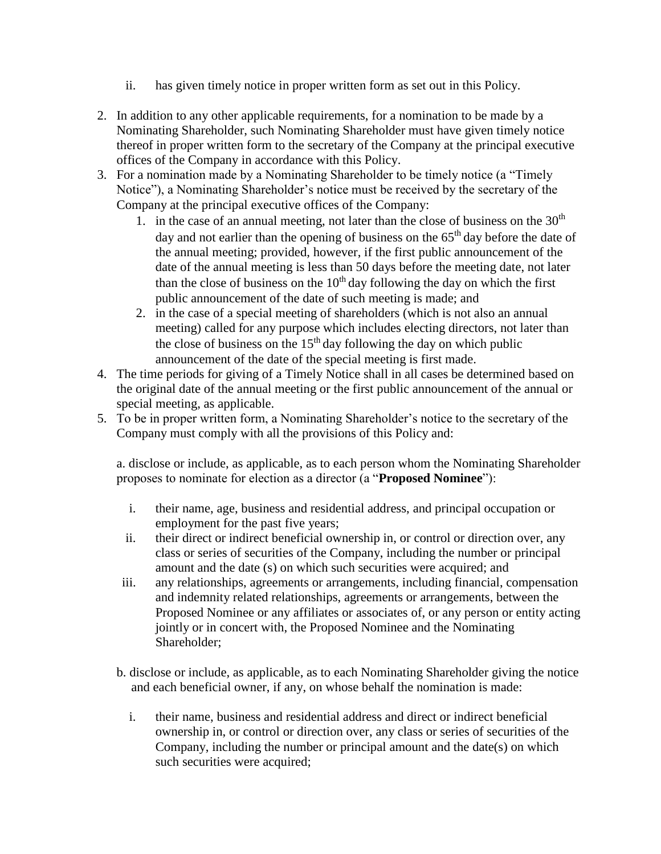- ii. has given timely notice in proper written form as set out in this Policy.
- 2. In addition to any other applicable requirements, for a nomination to be made by a Nominating Shareholder, such Nominating Shareholder must have given timely notice thereof in proper written form to the secretary of the Company at the principal executive offices of the Company in accordance with this Policy.
- 3. For a nomination made by a Nominating Shareholder to be timely notice (a "Timely Notice"), a Nominating Shareholder's notice must be received by the secretary of the Company at the principal executive offices of the Company:
	- 1. in the case of an annual meeting, not later than the close of business on the  $30<sup>th</sup>$ day and not earlier than the opening of business on the  $65<sup>th</sup>$  day before the date of the annual meeting; provided, however, if the first public announcement of the date of the annual meeting is less than 50 days before the meeting date, not later than the close of business on the  $10<sup>th</sup>$  day following the day on which the first public announcement of the date of such meeting is made; and
	- 2. in the case of a special meeting of shareholders (which is not also an annual meeting) called for any purpose which includes electing directors, not later than the close of business on the  $15<sup>th</sup>$  day following the day on which public announcement of the date of the special meeting is first made.
- 4. The time periods for giving of a Timely Notice shall in all cases be determined based on the original date of the annual meeting or the first public announcement of the annual or special meeting, as applicable.
- 5. To be in proper written form, a Nominating Shareholder's notice to the secretary of the Company must comply with all the provisions of this Policy and:

a. disclose or include, as applicable, as to each person whom the Nominating Shareholder proposes to nominate for election as a director (a "**Proposed Nominee**"):

- i. their name, age, business and residential address, and principal occupation or employment for the past five years;
- ii. their direct or indirect beneficial ownership in, or control or direction over, any class or series of securities of the Company, including the number or principal amount and the date (s) on which such securities were acquired; and
- iii. any relationships, agreements or arrangements, including financial, compensation and indemnity related relationships, agreements or arrangements, between the Proposed Nominee or any affiliates or associates of, or any person or entity acting jointly or in concert with, the Proposed Nominee and the Nominating Shareholder;
- b. disclose or include, as applicable, as to each Nominating Shareholder giving the notice and each beneficial owner, if any, on whose behalf the nomination is made:
	- i. their name, business and residential address and direct or indirect beneficial ownership in, or control or direction over, any class or series of securities of the Company, including the number or principal amount and the date(s) on which such securities were acquired;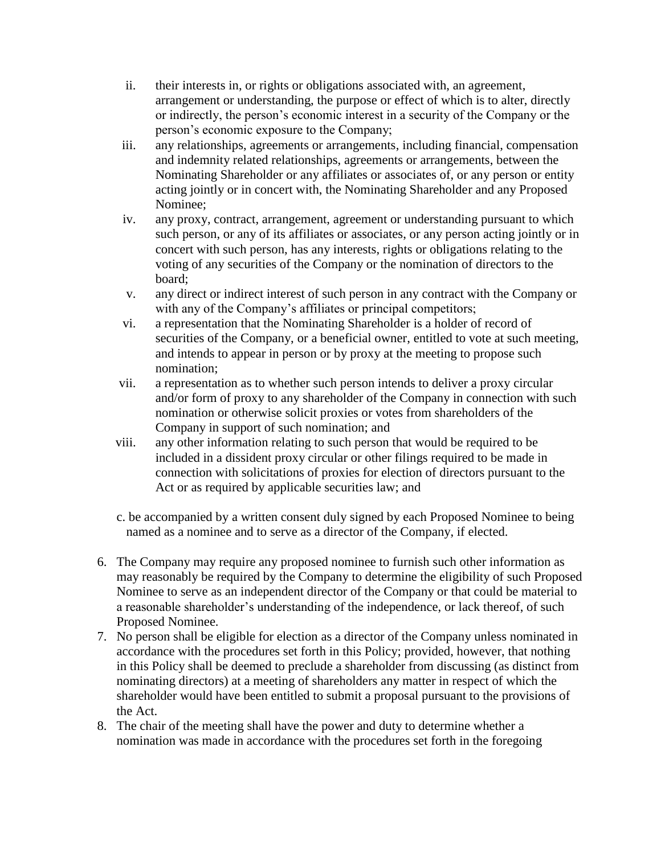- ii. their interests in, or rights or obligations associated with, an agreement, arrangement or understanding, the purpose or effect of which is to alter, directly or indirectly, the person's economic interest in a security of the Company or the person's economic exposure to the Company;
- iii. any relationships, agreements or arrangements, including financial, compensation and indemnity related relationships, agreements or arrangements, between the Nominating Shareholder or any affiliates or associates of, or any person or entity acting jointly or in concert with, the Nominating Shareholder and any Proposed Nominee;
- iv. any proxy, contract, arrangement, agreement or understanding pursuant to which such person, or any of its affiliates or associates, or any person acting jointly or in concert with such person, has any interests, rights or obligations relating to the voting of any securities of the Company or the nomination of directors to the board;
- v. any direct or indirect interest of such person in any contract with the Company or with any of the Company's affiliates or principal competitors;
- vi. a representation that the Nominating Shareholder is a holder of record of securities of the Company, or a beneficial owner, entitled to vote at such meeting, and intends to appear in person or by proxy at the meeting to propose such nomination;
- vii. a representation as to whether such person intends to deliver a proxy circular and/or form of proxy to any shareholder of the Company in connection with such nomination or otherwise solicit proxies or votes from shareholders of the Company in support of such nomination; and
- viii. any other information relating to such person that would be required to be included in a dissident proxy circular or other filings required to be made in connection with solicitations of proxies for election of directors pursuant to the Act or as required by applicable securities law; and
- c. be accompanied by a written consent duly signed by each Proposed Nominee to being named as a nominee and to serve as a director of the Company, if elected.
- 6. The Company may require any proposed nominee to furnish such other information as may reasonably be required by the Company to determine the eligibility of such Proposed Nominee to serve as an independent director of the Company or that could be material to a reasonable shareholder's understanding of the independence, or lack thereof, of such Proposed Nominee.
- 7. No person shall be eligible for election as a director of the Company unless nominated in accordance with the procedures set forth in this Policy; provided, however, that nothing in this Policy shall be deemed to preclude a shareholder from discussing (as distinct from nominating directors) at a meeting of shareholders any matter in respect of which the shareholder would have been entitled to submit a proposal pursuant to the provisions of the Act.
- 8. The chair of the meeting shall have the power and duty to determine whether a nomination was made in accordance with the procedures set forth in the foregoing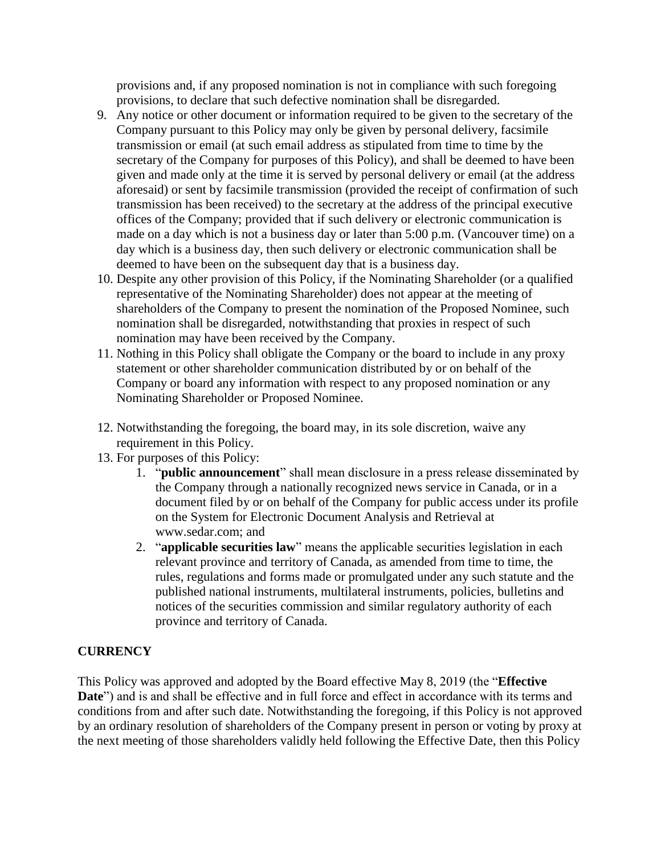provisions and, if any proposed nomination is not in compliance with such foregoing provisions, to declare that such defective nomination shall be disregarded.

- 9. Any notice or other document or information required to be given to the secretary of the Company pursuant to this Policy may only be given by personal delivery, facsimile transmission or email (at such email address as stipulated from time to time by the secretary of the Company for purposes of this Policy), and shall be deemed to have been given and made only at the time it is served by personal delivery or email (at the address aforesaid) or sent by facsimile transmission (provided the receipt of confirmation of such transmission has been received) to the secretary at the address of the principal executive offices of the Company; provided that if such delivery or electronic communication is made on a day which is not a business day or later than 5:00 p.m. (Vancouver time) on a day which is a business day, then such delivery or electronic communication shall be deemed to have been on the subsequent day that is a business day.
- 10. Despite any other provision of this Policy, if the Nominating Shareholder (or a qualified representative of the Nominating Shareholder) does not appear at the meeting of shareholders of the Company to present the nomination of the Proposed Nominee, such nomination shall be disregarded, notwithstanding that proxies in respect of such nomination may have been received by the Company.
- 11. Nothing in this Policy shall obligate the Company or the board to include in any proxy statement or other shareholder communication distributed by or on behalf of the Company or board any information with respect to any proposed nomination or any Nominating Shareholder or Proposed Nominee.
- 12. Notwithstanding the foregoing, the board may, in its sole discretion, waive any requirement in this Policy.
- 13. For purposes of this Policy:
	- 1. "**public announcement**" shall mean disclosure in a press release disseminated by the Company through a nationally recognized news service in Canada, or in a document filed by or on behalf of the Company for public access under its profile on the System for Electronic Document Analysis and Retrieval at www.sedar.com; and
	- 2. "**applicable securities law**" means the applicable securities legislation in each relevant province and territory of Canada, as amended from time to time, the rules, regulations and forms made or promulgated under any such statute and the published national instruments, multilateral instruments, policies, bulletins and notices of the securities commission and similar regulatory authority of each province and territory of Canada.

## **CURRENCY**

This Policy was approved and adopted by the Board effective May 8, 2019 (the "**Effective Date**") and is and shall be effective and in full force and effect in accordance with its terms and conditions from and after such date. Notwithstanding the foregoing, if this Policy is not approved by an ordinary resolution of shareholders of the Company present in person or voting by proxy at the next meeting of those shareholders validly held following the Effective Date, then this Policy